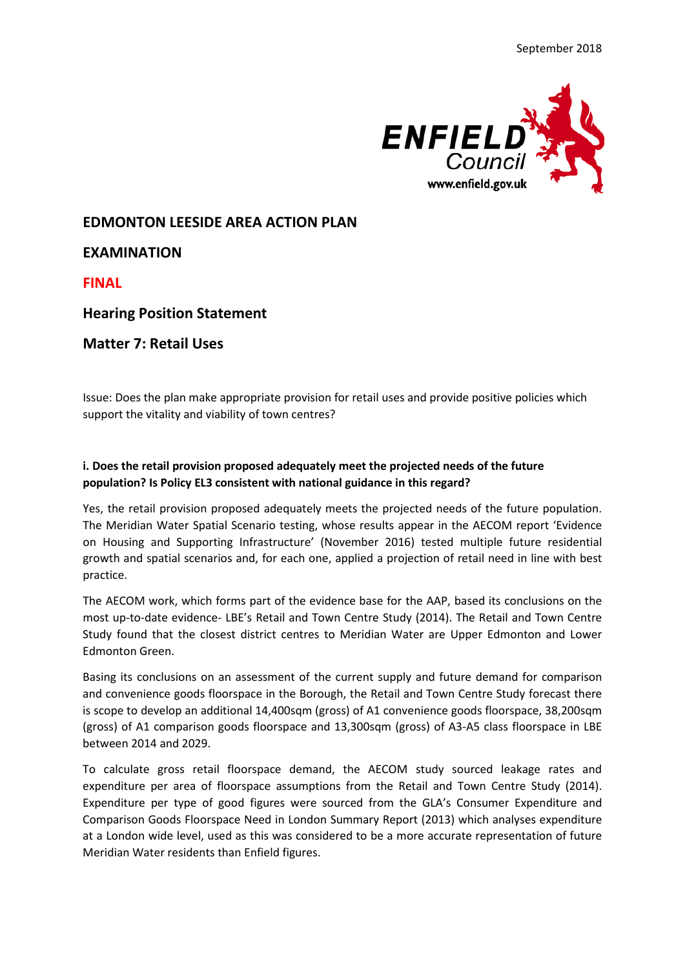

## **EDMONTON LEESIDE AREA ACTION PLAN**

# **EXAMINATION**

**FINAL**

## **Hearing Position Statement**

## **Matter 7: Retail Uses**

Issue: Does the plan make appropriate provision for retail uses and provide positive policies which support the vitality and viability of town centres?

### **i. Does the retail provision proposed adequately meet the projected needs of the future population? Is Policy EL3 consistent with national guidance in this regard?**

Yes, the retail provision proposed adequately meets the projected needs of the future population. The Meridian Water Spatial Scenario testing, whose results appear in the AECOM report 'Evidence on Housing and Supporting Infrastructure' (November 2016) tested multiple future residential growth and spatial scenarios and, for each one, applied a projection of retail need in line with best practice.

The AECOM work, which forms part of the evidence base for the AAP, based its conclusions on the most up-to-date evidence- LBE's Retail and Town Centre Study (2014). The Retail and Town Centre Study found that the closest district centres to Meridian Water are Upper Edmonton and Lower Edmonton Green.

Basing its conclusions on an assessment of the current supply and future demand for comparison and convenience goods floorspace in the Borough, the Retail and Town Centre Study forecast there is scope to develop an additional 14,400sqm (gross) of A1 convenience goods floorspace, 38,200sqm (gross) of A1 comparison goods floorspace and 13,300sqm (gross) of A3-A5 class floorspace in LBE between 2014 and 2029.

To calculate gross retail floorspace demand, the AECOM study sourced leakage rates and expenditure per area of floorspace assumptions from the Retail and Town Centre Study (2014). Expenditure per type of good figures were sourced from the GLA's Consumer Expenditure and Comparison Goods Floorspace Need in London Summary Report (2013) which analyses expenditure at a London wide level, used as this was considered to be a more accurate representation of future Meridian Water residents than Enfield figures.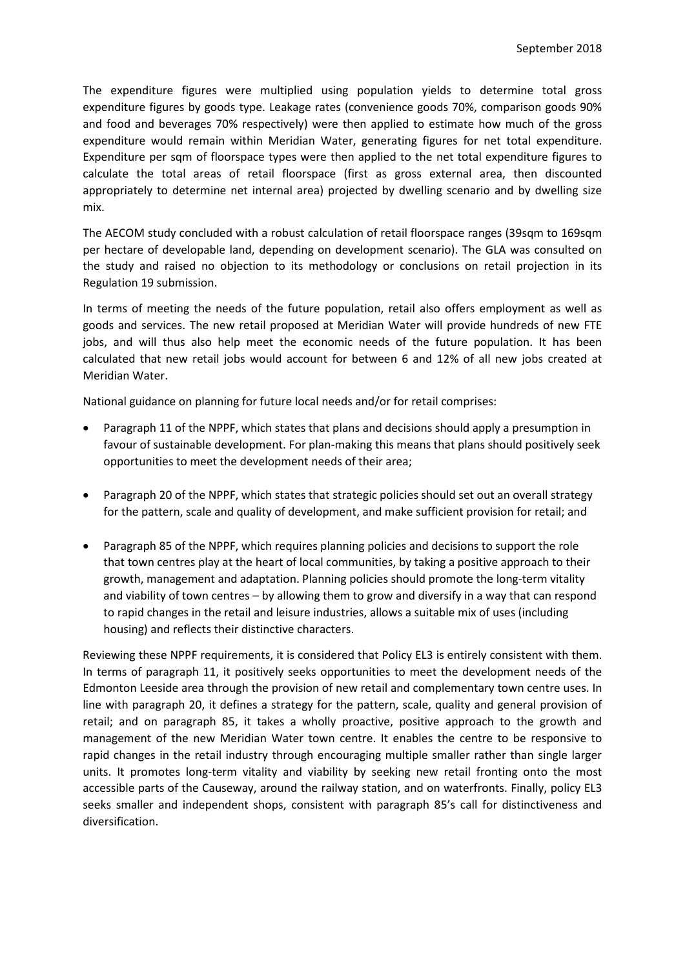The expenditure figures were multiplied using population yields to determine total gross expenditure figures by goods type. Leakage rates (convenience goods 70%, comparison goods 90% and food and beverages 70% respectively) were then applied to estimate how much of the gross expenditure would remain within Meridian Water, generating figures for net total expenditure. Expenditure per sqm of floorspace types were then applied to the net total expenditure figures to calculate the total areas of retail floorspace (first as gross external area, then discounted appropriately to determine net internal area) projected by dwelling scenario and by dwelling size mix.

The AECOM study concluded with a robust calculation of retail floorspace ranges (39sqm to 169sqm per hectare of developable land, depending on development scenario). The GLA was consulted on the study and raised no objection to its methodology or conclusions on retail projection in its Regulation 19 submission.

In terms of meeting the needs of the future population, retail also offers employment as well as goods and services. The new retail proposed at Meridian Water will provide hundreds of new FTE jobs, and will thus also help meet the economic needs of the future population. It has been calculated that new retail jobs would account for between 6 and 12% of all new jobs created at Meridian Water.

National guidance on planning for future local needs and/or for retail comprises:

- Paragraph 11 of the NPPF, which states that plans and decisions should apply a presumption in favour of sustainable development. For plan-making this means that plans should positively seek opportunities to meet the development needs of their area;
- Paragraph 20 of the NPPF, which states that strategic policies should set out an overall strategy for the pattern, scale and quality of development, and make sufficient provision for retail; and
- Paragraph 85 of the NPPF, which requires planning policies and decisions to support the role that town centres play at the heart of local communities, by taking a positive approach to their growth, management and adaptation. Planning policies should promote the long-term vitality and viability of town centres – by allowing them to grow and diversify in a way that can respond to rapid changes in the retail and leisure industries, allows a suitable mix of uses (including housing) and reflects their distinctive characters.

Reviewing these NPPF requirements, it is considered that Policy EL3 is entirely consistent with them. In terms of paragraph 11, it positively seeks opportunities to meet the development needs of the Edmonton Leeside area through the provision of new retail and complementary town centre uses. In line with paragraph 20, it defines a strategy for the pattern, scale, quality and general provision of retail; and on paragraph 85, it takes a wholly proactive, positive approach to the growth and management of the new Meridian Water town centre. It enables the centre to be responsive to rapid changes in the retail industry through encouraging multiple smaller rather than single larger units. It promotes long-term vitality and viability by seeking new retail fronting onto the most accessible parts of the Causeway, around the railway station, and on waterfronts. Finally, policy EL3 seeks smaller and independent shops, consistent with paragraph 85's call for distinctiveness and diversification.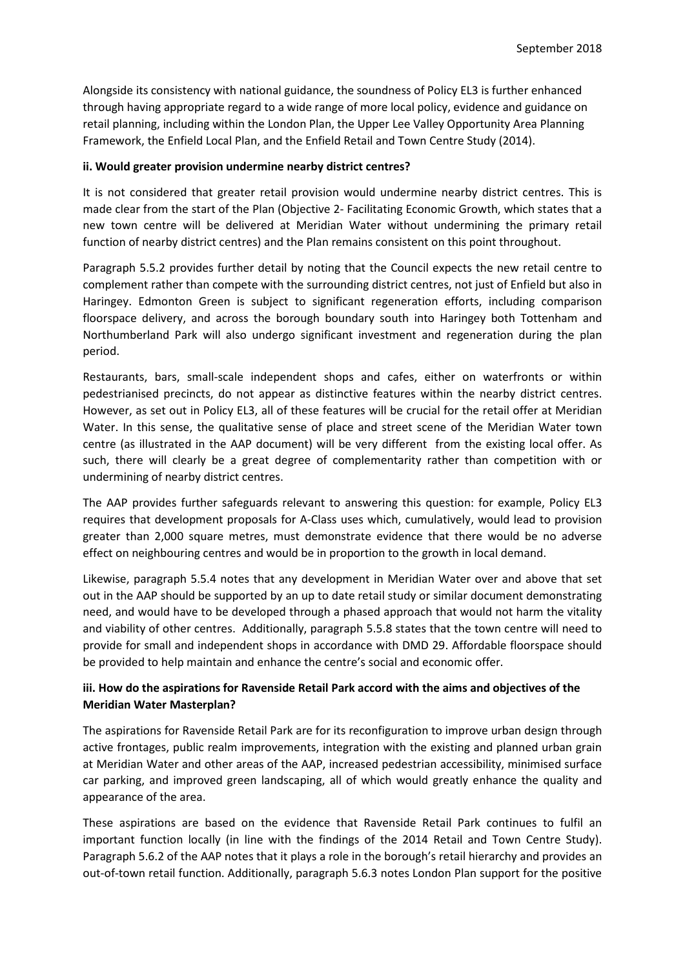Alongside its consistency with national guidance, the soundness of Policy EL3 is further enhanced through having appropriate regard to a wide range of more local policy, evidence and guidance on retail planning, including within the London Plan, the Upper Lee Valley Opportunity Area Planning Framework, the Enfield Local Plan, and the Enfield Retail and Town Centre Study (2014).

#### **ii. Would greater provision undermine nearby district centres?**

It is not considered that greater retail provision would undermine nearby district centres. This is made clear from the start of the Plan (Objective 2- Facilitating Economic Growth, which states that a new town centre will be delivered at Meridian Water without undermining the primary retail function of nearby district centres) and the Plan remains consistent on this point throughout.

Paragraph 5.5.2 provides further detail by noting that the Council expects the new retail centre to complement rather than compete with the surrounding district centres, not just of Enfield but also in Haringey. Edmonton Green is subject to significant regeneration efforts, including comparison floorspace delivery, and across the borough boundary south into Haringey both Tottenham and Northumberland Park will also undergo significant investment and regeneration during the plan period.

Restaurants, bars, small-scale independent shops and cafes, either on waterfronts or within pedestrianised precincts, do not appear as distinctive features within the nearby district centres. However, as set out in Policy EL3, all of these features will be crucial for the retail offer at Meridian Water. In this sense, the qualitative sense of place and street scene of the Meridian Water town centre (as illustrated in the AAP document) will be very different from the existing local offer. As such, there will clearly be a great degree of complementarity rather than competition with or undermining of nearby district centres.

The AAP provides further safeguards relevant to answering this question: for example, Policy EL3 requires that development proposals for A-Class uses which, cumulatively, would lead to provision greater than 2,000 square metres, must demonstrate evidence that there would be no adverse effect on neighbouring centres and would be in proportion to the growth in local demand.

Likewise, paragraph 5.5.4 notes that any development in Meridian Water over and above that set out in the AAP should be supported by an up to date retail study or similar document demonstrating need, and would have to be developed through a phased approach that would not harm the vitality and viability of other centres. Additionally, paragraph 5.5.8 states that the town centre will need to provide for small and independent shops in accordance with DMD 29. Affordable floorspace should be provided to help maintain and enhance the centre's social and economic offer.

### **iii. How do the aspirations for Ravenside Retail Park accord with the aims and objectives of the Meridian Water Masterplan?**

The aspirations for Ravenside Retail Park are for its reconfiguration to improve urban design through active frontages, public realm improvements, integration with the existing and planned urban grain at Meridian Water and other areas of the AAP, increased pedestrian accessibility, minimised surface car parking, and improved green landscaping, all of which would greatly enhance the quality and appearance of the area.

These aspirations are based on the evidence that Ravenside Retail Park continues to fulfil an important function locally (in line with the findings of the 2014 Retail and Town Centre Study). Paragraph 5.6.2 of the AAP notes that it plays a role in the borough's retail hierarchy and provides an out-of-town retail function. Additionally, paragraph 5.6.3 notes London Plan support for the positive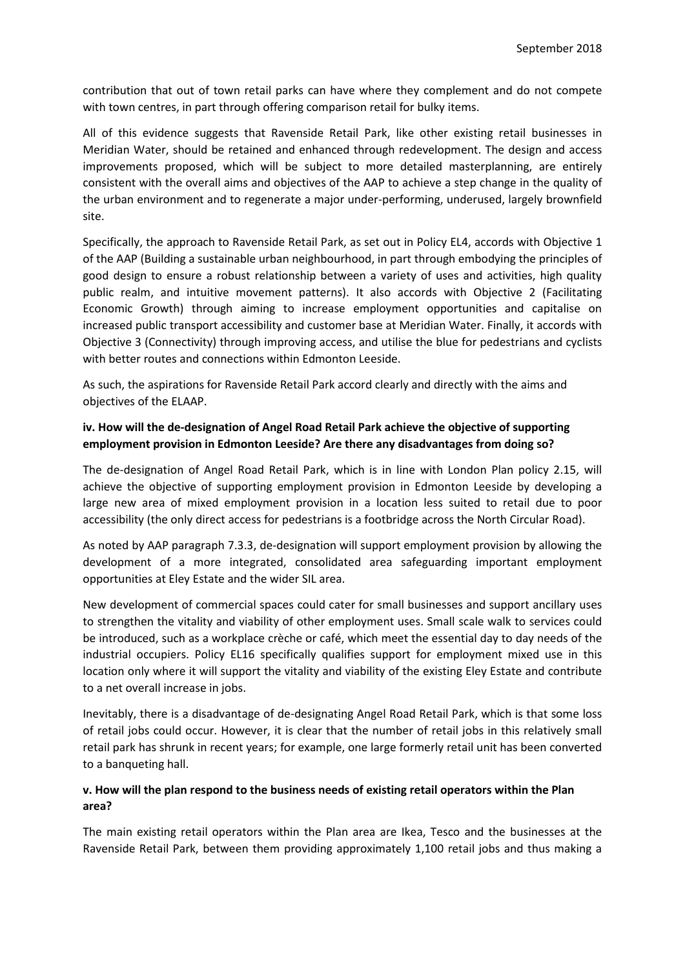contribution that out of town retail parks can have where they complement and do not compete with town centres, in part through offering comparison retail for bulky items.

All of this evidence suggests that Ravenside Retail Park, like other existing retail businesses in Meridian Water, should be retained and enhanced through redevelopment. The design and access improvements proposed, which will be subject to more detailed masterplanning, are entirely consistent with the overall aims and objectives of the AAP to achieve a step change in the quality of the urban environment and to regenerate a major under-performing, underused, largely brownfield site.

Specifically, the approach to Ravenside Retail Park, as set out in Policy EL4, accords with Objective 1 of the AAP (Building a sustainable urban neighbourhood, in part through embodying the principles of good design to ensure a robust relationship between a variety of uses and activities, high quality public realm, and intuitive movement patterns). It also accords with Objective 2 (Facilitating Economic Growth) through aiming to increase employment opportunities and capitalise on increased public transport accessibility and customer base at Meridian Water. Finally, it accords with Objective 3 (Connectivity) through improving access, and utilise the blue for pedestrians and cyclists with better routes and connections within Edmonton Leeside.

As such, the aspirations for Ravenside Retail Park accord clearly and directly with the aims and objectives of the ELAAP.

### **iv. How will the de-designation of Angel Road Retail Park achieve the objective of supporting employment provision in Edmonton Leeside? Are there any disadvantages from doing so?**

The de-designation of Angel Road Retail Park, which is in line with London Plan policy 2.15, will achieve the objective of supporting employment provision in Edmonton Leeside by developing a large new area of mixed employment provision in a location less suited to retail due to poor accessibility (the only direct access for pedestrians is a footbridge across the North Circular Road).

As noted by AAP paragraph 7.3.3, de-designation will support employment provision by allowing the development of a more integrated, consolidated area safeguarding important employment opportunities at Eley Estate and the wider SIL area.

New development of commercial spaces could cater for small businesses and support ancillary uses to strengthen the vitality and viability of other employment uses. Small scale walk to services could be introduced, such as a workplace crèche or café, which meet the essential day to day needs of the industrial occupiers. Policy EL16 specifically qualifies support for employment mixed use in this location only where it will support the vitality and viability of the existing Eley Estate and contribute to a net overall increase in jobs.

Inevitably, there is a disadvantage of de-designating Angel Road Retail Park, which is that some loss of retail jobs could occur. However, it is clear that the number of retail jobs in this relatively small retail park has shrunk in recent years; for example, one large formerly retail unit has been converted to a banqueting hall.

### **v. How will the plan respond to the business needs of existing retail operators within the Plan area?**

The main existing retail operators within the Plan area are Ikea, Tesco and the businesses at the Ravenside Retail Park, between them providing approximately 1,100 retail jobs and thus making a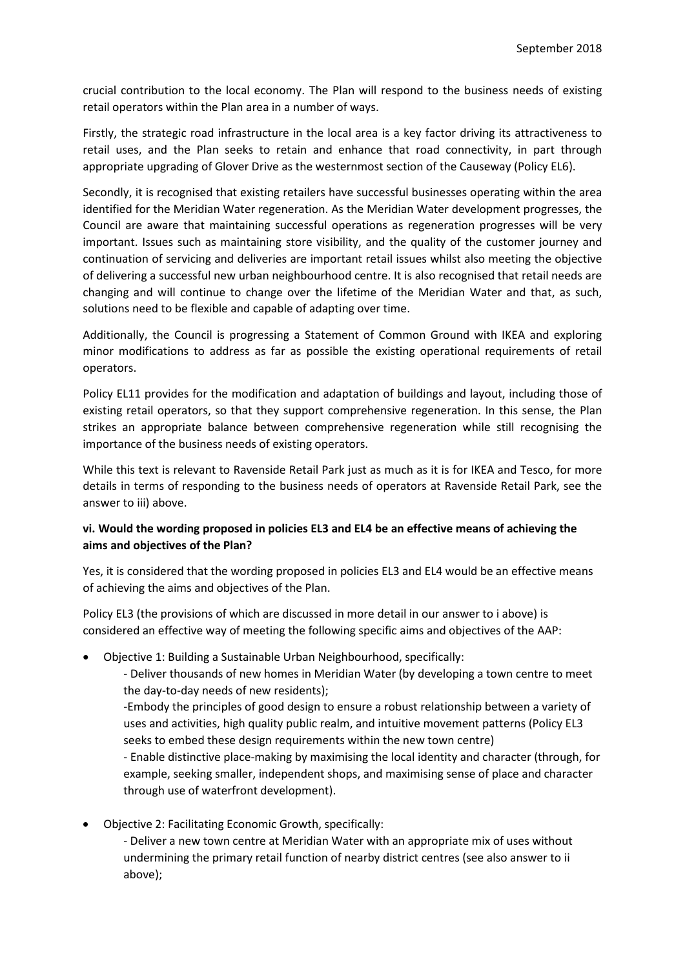crucial contribution to the local economy. The Plan will respond to the business needs of existing retail operators within the Plan area in a number of ways.

Firstly, the strategic road infrastructure in the local area is a key factor driving its attractiveness to retail uses, and the Plan seeks to retain and enhance that road connectivity, in part through appropriate upgrading of Glover Drive as the westernmost section of the Causeway (Policy EL6).

Secondly, it is recognised that existing retailers have successful businesses operating within the area identified for the Meridian Water regeneration. As the Meridian Water development progresses, the Council are aware that maintaining successful operations as regeneration progresses will be very important. Issues such as maintaining store visibility, and the quality of the customer journey and continuation of servicing and deliveries are important retail issues whilst also meeting the objective of delivering a successful new urban neighbourhood centre. It is also recognised that retail needs are changing and will continue to change over the lifetime of the Meridian Water and that, as such, solutions need to be flexible and capable of adapting over time.

Additionally, the Council is progressing a Statement of Common Ground with IKEA and exploring minor modifications to address as far as possible the existing operational requirements of retail operators.

Policy EL11 provides for the modification and adaptation of buildings and layout, including those of existing retail operators, so that they support comprehensive regeneration. In this sense, the Plan strikes an appropriate balance between comprehensive regeneration while still recognising the importance of the business needs of existing operators.

While this text is relevant to Ravenside Retail Park just as much as it is for IKEA and Tesco, for more details in terms of responding to the business needs of operators at Ravenside Retail Park, see the answer to iii) above.

## **vi. Would the wording proposed in policies EL3 and EL4 be an effective means of achieving the aims and objectives of the Plan?**

Yes, it is considered that the wording proposed in policies EL3 and EL4 would be an effective means of achieving the aims and objectives of the Plan.

Policy EL3 (the provisions of which are discussed in more detail in our answer to i above) is considered an effective way of meeting the following specific aims and objectives of the AAP:

• Objective 1: Building a Sustainable Urban Neighbourhood, specifically:

- Deliver thousands of new homes in Meridian Water (by developing a town centre to meet the day-to-day needs of new residents);

-Embody the principles of good design to ensure a robust relationship between a variety of uses and activities, high quality public realm, and intuitive movement patterns (Policy EL3 seeks to embed these design requirements within the new town centre)

- Enable distinctive place-making by maximising the local identity and character (through, for example, seeking smaller, independent shops, and maximising sense of place and character through use of waterfront development).

• Objective 2: Facilitating Economic Growth, specifically:

- Deliver a new town centre at Meridian Water with an appropriate mix of uses without undermining the primary retail function of nearby district centres (see also answer to ii above);